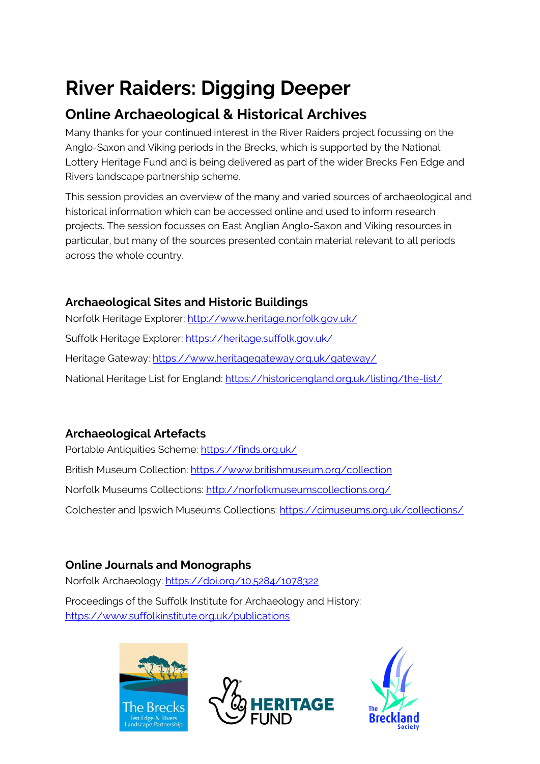# **River Raiders: Digging Deeper**

# **Online Archaeological & Historical Archives**

Many thanks for your continued interest in the River Raiders project focussing on the Anglo-Saxon and Viking periods in the Brecks, which is supported by the National Lottery Heritage Fund and is being delivered as part of the wider Brecks Fen Edge and Rivers landscape partnership scheme.

This session provides an overview of the many and varied sources of archaeological and historical information which can be accessed online and used to inform research projects. The session focusses on East Anglian Anglo-Saxon and Viking resources in particular, but many of the sources presented contain material relevant to all periods across the whole country.

#### **Archaeological Sites and Historic Buildings**

Norfolk Heritage Explorer: <http://www.heritage.norfolk.gov.uk/> Suffolk Heritage Explorer:<https://heritage.suffolk.gov.uk/> Heritage Gateway:<https://www.heritagegateway.org.uk/gateway/> National Heritage List for England:<https://historicengland.org.uk/listing/the-list/>

# **Archaeological Artefacts**

Portable Antiquities Scheme:<https://finds.org.uk/> British Museum Collection:<https://www.britishmuseum.org/collection> Norfolk Museums Collections:<http://norfolkmuseumscollections.org/> Colchester and Ipswich Museums Collections:<https://cimuseums.org.uk/collections/>

# **Online Journals and Monographs**

Norfolk Archaeology:<https://doi.org/10.5284/1078322>

Proceedings of the Suffolk Institute for Archaeology and History: <https://www.suffolkinstitute.org.uk/publications>





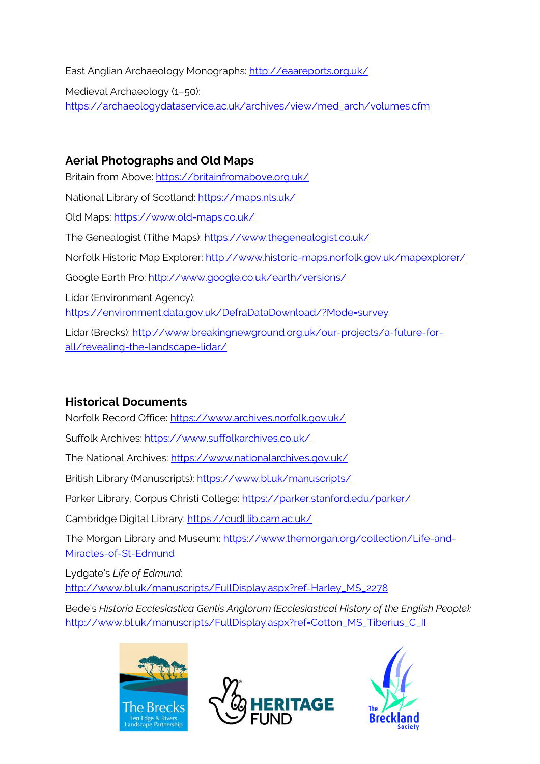East Anglian Archaeology Monographs:<http://eaareports.org.uk/>

Medieval Archaeology (1–50): [https://archaeologydataservice.ac.uk/archives/view/med\\_arch/volumes.cfm](https://archaeologydataservice.ac.uk/archives/view/med_arch/volumes.cfm)

#### **Aerial Photographs and Old Maps**

Britain from Above:<https://britainfromabove.org.uk/> National Library of Scotland:<https://maps.nls.uk/> Old Maps:<https://www.old-maps.co.uk/> The Genealogist (Tithe Maps):<https://www.thegenealogist.co.uk/> Norfolk Historic Map Explorer:<http://www.historic-maps.norfolk.gov.uk/mapexplorer/> Google Earth Pro:<http://www.google.co.uk/earth/versions/> Lidar (Environment Agency): <https://environment.data.gov.uk/DefraDataDownload/?Mode=survey> Lidar (Brecks): [http://www.breakingnewground.org.uk/our-projects/a-future-for](http://www.breakingnewground.org.uk/our-projects/a-future-for-all/revealing-the-landscape-lidar/)[all/revealing-the-landscape-lidar/](http://www.breakingnewground.org.uk/our-projects/a-future-for-all/revealing-the-landscape-lidar/)

## **Historical Documents**

Norfolk Record Office[: https://www.archives.norfolk.gov.uk/](https://www.archives.norfolk.gov.uk/)

Suffolk Archives:<https://www.suffolkarchives.co.uk/>

The National Archives:<https://www.nationalarchives.gov.uk/>

British Library (Manuscripts):<https://www.bl.uk/manuscripts/>

Parker Library, Corpus Christi College:<https://parker.stanford.edu/parker/>

Cambridge Digital Library:<https://cudl.lib.cam.ac.uk/>

The Morgan Library and Museum: [https://www.themorgan.org/collection/Life-and-](https://www.themorgan.org/collection/Life-and-Miracles-of-St-Edmund)[Miracles-of-St-Edmund](https://www.themorgan.org/collection/Life-and-Miracles-of-St-Edmund)

Lydgate's *Life of Edmund*:

[http://www.bl.uk/manuscripts/FullDisplay.aspx?ref=Harley\\_MS\\_2278](http://www.bl.uk/manuscripts/FullDisplay.aspx?ref=Harley_MS_2278)

Bede's *Historia Ecclesiastica Gentis Anglorum (Ecclesiastical History of the English People):* [http://www.bl.uk/manuscripts/FullDisplay.aspx?ref=Cotton\\_MS\\_Tiberius\\_C\\_II](http://www.bl.uk/manuscripts/FullDisplay.aspx?ref=Cotton_MS_Tiberius_C_II)





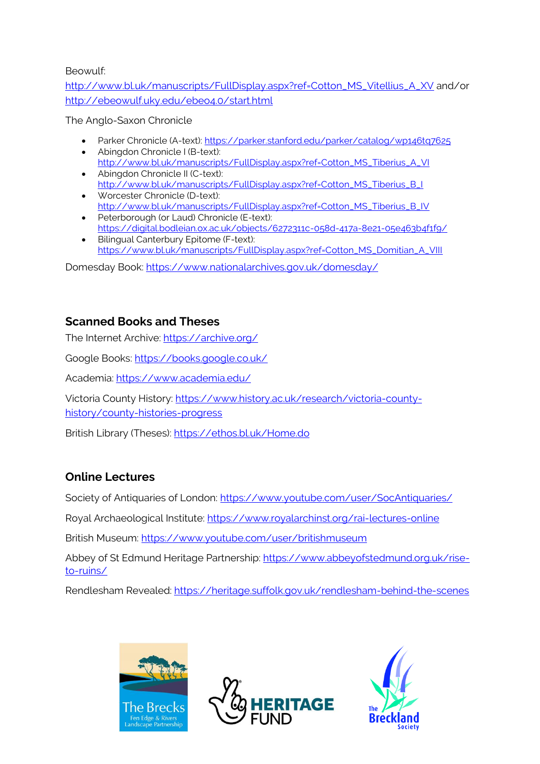Beowulf:

[http://www.bl.uk/manuscripts/FullDisplay.aspx?ref=Cotton\\_MS\\_Vitellius\\_A\\_XV](http://www.bl.uk/manuscripts/FullDisplay.aspx?ref=Cotton_MS_Vitellius_A_XV) and/or <http://ebeowulf.uky.edu/ebeo4.0/start.html>

The Anglo-Saxon Chronicle

- Parker Chronicle (A-text):<https://parker.stanford.edu/parker/catalog/wp146tq7625>
- Abingdon Chronicle I (B-text): [http://www.bl.uk/manuscripts/FullDisplay.aspx?ref=Cotton\\_MS\\_Tiberius\\_A\\_VI](http://www.bl.uk/manuscripts/FullDisplay.aspx?ref=Cotton_MS_Tiberius_A_VI) • Abingdon Chronicle II (C-text):
- [http://www.bl.uk/manuscripts/FullDisplay.aspx?ref=Cotton\\_MS\\_Tiberius\\_B\\_I](http://www.bl.uk/manuscripts/FullDisplay.aspx?ref=Cotton_MS_Tiberius_B_I) • Worcester Chronicle (D-text):
- [http://www.bl.uk/manuscripts/FullDisplay.aspx?ref=Cotton\\_MS\\_Tiberius\\_B\\_IV](http://www.bl.uk/manuscripts/FullDisplay.aspx?ref=Cotton_MS_Tiberius_B_IV) • Peterborough (or Laud) Chronicle (E-text):
- <https://digital.bodleian.ox.ac.uk/objects/6272311c-058d-417a-8e21-05e463b4f1f9/> • Bilingual Canterbury Epitome (F-text):
- [https://www.bl.uk/manuscripts/FullDisplay.aspx?ref=Cotton\\_MS\\_Domitian\\_A\\_VIII](https://www.bl.uk/manuscripts/FullDisplay.aspx?ref=Cotton_MS_Domitian_A_VIII)

Domesday Book:<https://www.nationalarchives.gov.uk/domesday/>

#### **Scanned Books and Theses**

The Internet Archive:<https://archive.org/>

Google Books:<https://books.google.co.uk/>

Academia:<https://www.academia.edu/>

Victoria County History: [https://www.history.ac.uk/research/victoria-county](https://www.history.ac.uk/research/victoria-county-history/county-histories-progress)[history/county-histories-progress](https://www.history.ac.uk/research/victoria-county-history/county-histories-progress)

British Library (Theses):<https://ethos.bl.uk/Home.do>

#### **Online Lectures**

Society of Antiquaries of London[: https://www.youtube.com/user/SocAntiquaries/](https://www.youtube.com/user/SocAntiquaries/)

Royal Archaeological Institute:<https://www.royalarchinst.org/rai-lectures-online>

British Museum:<https://www.youtube.com/user/britishmuseum>

Abbey of St Edmund Heritage Partnership: [https://www.abbeyofstedmund.org.uk/rise](https://www.abbeyofstedmund.org.uk/rise-to-ruins/)[to-ruins/](https://www.abbeyofstedmund.org.uk/rise-to-ruins/)

Rendlesham Revealed:<https://heritage.suffolk.gov.uk/rendlesham-behind-the-scenes>